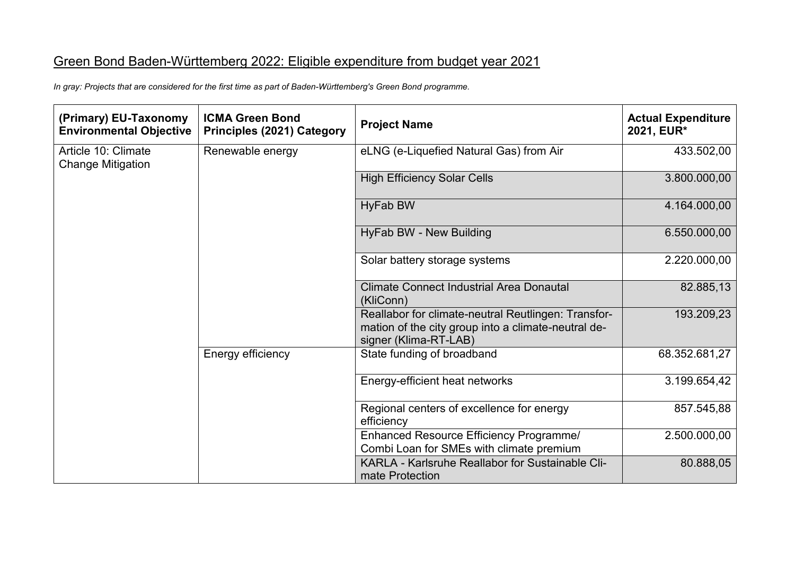## Green Bond Baden-Württemberg 2022: Eligible expenditure from budget year 2021

 *In gray: Projects that are considered for the first time as part of Baden-Württemberg's Green Bond programme.* 

| (Primary) EU-Taxonomy<br><b>Environmental Objective</b> | <b>ICMA Green Bond</b><br><b>Principles (2021) Category</b> | <b>Project Name</b>                                                                                                                 | <b>Actual Expenditure</b><br>2021, EUR* |
|---------------------------------------------------------|-------------------------------------------------------------|-------------------------------------------------------------------------------------------------------------------------------------|-----------------------------------------|
| Article 10: Climate<br><b>Change Mitigation</b>         | Renewable energy                                            | eLNG (e-Liquefied Natural Gas) from Air                                                                                             | 433.502,00                              |
|                                                         |                                                             | <b>High Efficiency Solar Cells</b>                                                                                                  | 3.800.000,00                            |
|                                                         |                                                             | <b>HyFab BW</b>                                                                                                                     | 4.164.000,00                            |
|                                                         |                                                             | HyFab BW - New Building                                                                                                             | 6.550.000,00                            |
|                                                         |                                                             | Solar battery storage systems                                                                                                       | 2.220.000,00                            |
|                                                         |                                                             | <b>Climate Connect Industrial Area Donautal</b><br>(KliConn)                                                                        | 82.885,13                               |
|                                                         |                                                             | Reallabor for climate-neutral Reutlingen: Transfor-<br>mation of the city group into a climate-neutral de-<br>signer (Klima-RT-LAB) | 193.209,23                              |
|                                                         | Energy efficiency                                           | State funding of broadband                                                                                                          | 68.352.681,27                           |
|                                                         |                                                             | Energy-efficient heat networks                                                                                                      | 3.199.654,42                            |
|                                                         |                                                             | Regional centers of excellence for energy<br>efficiency                                                                             | 857.545,88                              |
|                                                         |                                                             | Enhanced Resource Efficiency Programme/<br>Combi Loan for SMEs with climate premium                                                 | 2.500.000,00                            |
|                                                         |                                                             | KARLA - Karlsruhe Reallabor for Sustainable Cli-<br>mate Protection                                                                 | 80.888,05                               |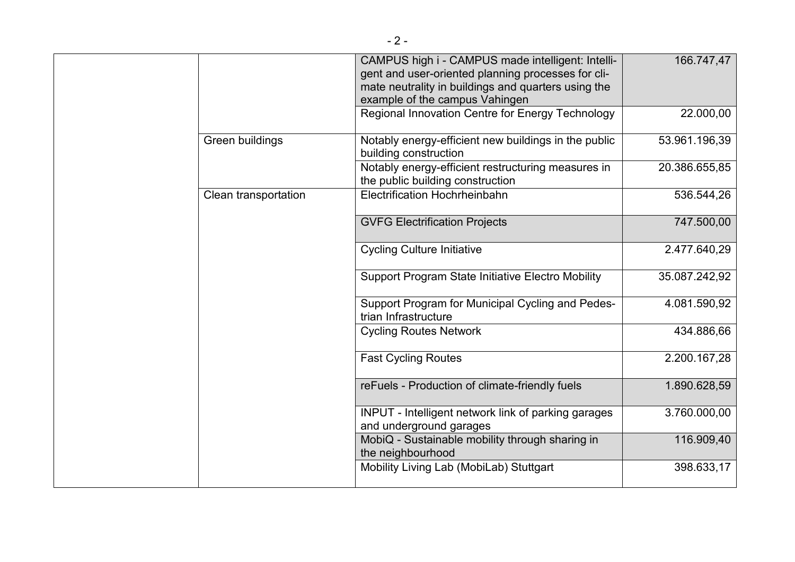|  |                      | CAMPUS high i - CAMPUS made intelligent: Intelli-<br>gent and user-oriented planning processes for cli-<br>mate neutrality in buildings and quarters using the<br>example of the campus Vahingen | 166.747,47    |
|--|----------------------|--------------------------------------------------------------------------------------------------------------------------------------------------------------------------------------------------|---------------|
|  |                      | Regional Innovation Centre for Energy Technology                                                                                                                                                 | 22.000,00     |
|  | Green buildings      | Notably energy-efficient new buildings in the public<br>building construction                                                                                                                    | 53.961.196,39 |
|  |                      | Notably energy-efficient restructuring measures in<br>the public building construction                                                                                                           | 20.386.655,85 |
|  | Clean transportation | Electrification Hochrheinbahn                                                                                                                                                                    | 536.544,26    |
|  |                      | <b>GVFG Electrification Projects</b>                                                                                                                                                             | 747.500,00    |
|  |                      | <b>Cycling Culture Initiative</b>                                                                                                                                                                | 2.477.640,29  |
|  |                      | <b>Support Program State Initiative Electro Mobility</b>                                                                                                                                         | 35.087.242,92 |
|  |                      | Support Program for Municipal Cycling and Pedes-<br>trian Infrastructure                                                                                                                         | 4.081.590,92  |
|  |                      | <b>Cycling Routes Network</b>                                                                                                                                                                    | 434.886,66    |
|  |                      | <b>Fast Cycling Routes</b>                                                                                                                                                                       | 2.200.167,28  |
|  |                      | reFuels - Production of climate-friendly fuels                                                                                                                                                   | 1.890.628,59  |
|  |                      | INPUT - Intelligent network link of parking garages<br>and underground garages                                                                                                                   | 3.760.000,00  |
|  |                      | MobiQ - Sustainable mobility through sharing in<br>the neighbourhood                                                                                                                             | 116.909,40    |
|  |                      | Mobility Living Lab (MobiLab) Stuttgart                                                                                                                                                          | 398.633,17    |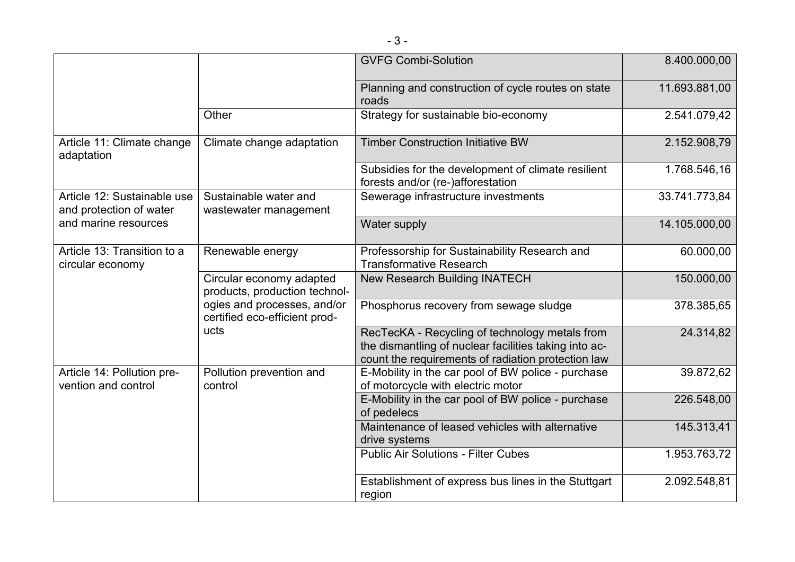|                                                                                |                                                                                                                                   | <b>GVFG Combi-Solution</b>                                                                                                                                    | 8.400.000,00  |
|--------------------------------------------------------------------------------|-----------------------------------------------------------------------------------------------------------------------------------|---------------------------------------------------------------------------------------------------------------------------------------------------------------|---------------|
|                                                                                |                                                                                                                                   | Planning and construction of cycle routes on state<br>roads                                                                                                   | 11.693.881,00 |
|                                                                                | Other                                                                                                                             | Strategy for sustainable bio-economy                                                                                                                          | 2.541.079,42  |
| Article 11: Climate change<br>adaptation                                       | Climate change adaptation                                                                                                         | <b>Timber Construction Initiative BW</b>                                                                                                                      | 2.152.908,79  |
|                                                                                |                                                                                                                                   | Subsidies for the development of climate resilient<br>forests and/or (re-)afforestation                                                                       | 1.768.546,16  |
| Article 12: Sustainable use<br>and protection of water<br>and marine resources | Sustainable water and<br>wastewater management                                                                                    | Sewerage infrastructure investments                                                                                                                           | 33.741.773,84 |
|                                                                                |                                                                                                                                   | Water supply                                                                                                                                                  | 14.105.000,00 |
| Article 13: Transition to a<br>circular economy                                | Renewable energy                                                                                                                  | Professorship for Sustainability Research and<br><b>Transformative Research</b>                                                                               | 60.000,00     |
|                                                                                | Circular economy adapted<br>products, production technol-<br>ogies and processes, and/or<br>certified eco-efficient prod-<br>ucts | New Research Building INATECH                                                                                                                                 | 150.000,00    |
|                                                                                |                                                                                                                                   | Phosphorus recovery from sewage sludge                                                                                                                        | 378.385,65    |
|                                                                                |                                                                                                                                   | RecTecKA - Recycling of technology metals from<br>the dismantling of nuclear facilities taking into ac-<br>count the requirements of radiation protection law | 24.314,82     |
| Article 14: Pollution pre-<br>vention and control                              | Pollution prevention and<br>control                                                                                               | E-Mobility in the car pool of BW police - purchase<br>of motorcycle with electric motor                                                                       | 39.872,62     |
|                                                                                |                                                                                                                                   | E-Mobility in the car pool of BW police - purchase<br>of pedelecs                                                                                             | 226.548,00    |
|                                                                                |                                                                                                                                   | Maintenance of leased vehicles with alternative<br>drive systems                                                                                              | 145.313,41    |
|                                                                                |                                                                                                                                   | <b>Public Air Solutions - Filter Cubes</b>                                                                                                                    | 1.953.763,72  |
|                                                                                |                                                                                                                                   | Establishment of express bus lines in the Stuttgart<br>region                                                                                                 | 2.092.548,81  |